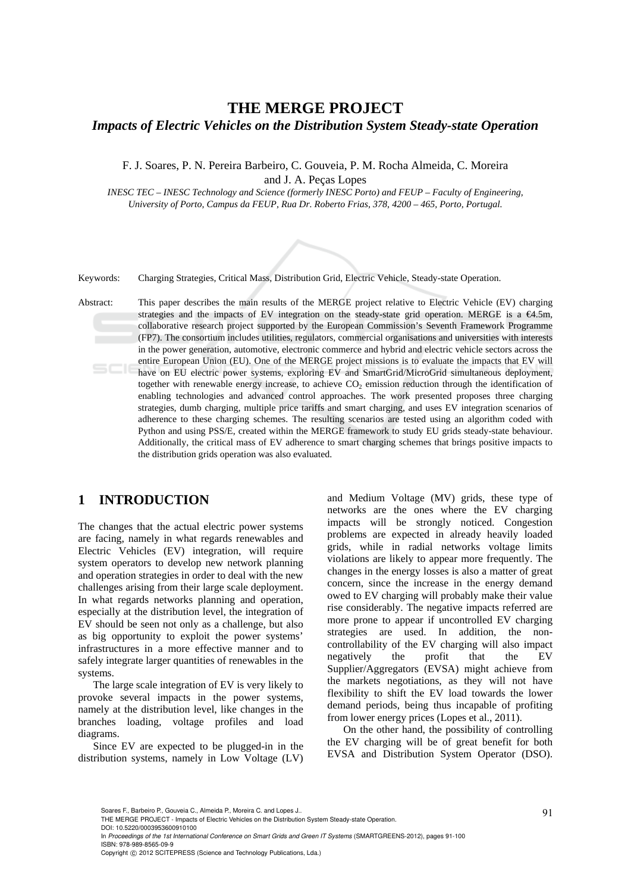## **THE MERGE PROJECT**  *Impacts of Electric Vehicles on the Distribution System Steady-state Operation*

F. J. Soares, P. N. Pereira Barbeiro, C. Gouveia, P. M. Rocha Almeida, C. Moreira and J. A. Peças Lopes

*INESC TEC – INESC Technology and Science (formerly INESC Porto) and FEUP – Faculty of Engineering, University of Porto, Campus da FEUP, Rua Dr. Roberto Frias, 378, 4200 – 465, Porto, Portugal.* 



Keywords: Charging Strategies, Critical Mass, Distribution Grid, Electric Vehicle, Steady-state Operation.

Abstract: This paper describes the main results of the MERGE project relative to Electric Vehicle (EV) charging strategies and the impacts of EV integration on the steady-state grid operation. MERGE is a €4.5m, collaborative research project supported by the European Commission's Seventh Framework Programme (FP7). The consortium includes utilities, regulators, commercial organisations and universities with interests in the power generation, automotive, electronic commerce and hybrid and electric vehicle sectors across the entire European Union (EU). One of the MERGE project missions is to evaluate the impacts that EV will have on EU electric power systems, exploring EV and SmartGrid/MicroGrid simultaneous deployment, together with renewable energy increase, to achieve  $CO<sub>2</sub>$  emission reduction through the identification of enabling technologies and advanced control approaches. The work presented proposes three charging strategies, dumb charging, multiple price tariffs and smart charging, and uses EV integration scenarios of adherence to these charging schemes. The resulting scenarios are tested using an algorithm coded with Python and using PSS/E, created within the MERGE framework to study EU grids steady-state behaviour. Additionally, the critical mass of EV adherence to smart charging schemes that brings positive impacts to the distribution grids operation was also evaluated.

## **1 INTRODUCTION**

The changes that the actual electric power systems are facing, namely in what regards renewables and Electric Vehicles (EV) integration, will require system operators to develop new network planning and operation strategies in order to deal with the new challenges arising from their large scale deployment. In what regards networks planning and operation, especially at the distribution level, the integration of EV should be seen not only as a challenge, but also as big opportunity to exploit the power systems' infrastructures in a more effective manner and to safely integrate larger quantities of renewables in the systems.

The large scale integration of EV is very likely to provoke several impacts in the power systems, namely at the distribution level, like changes in the branches loading, voltage profiles and load diagrams.

Since EV are expected to be plugged-in in the distribution systems, namely in Low Voltage (LV)

and Medium Voltage (MV) grids, these type of networks are the ones where the EV charging impacts will be strongly noticed. Congestion problems are expected in already heavily loaded grids, while in radial networks voltage limits violations are likely to appear more frequently. The changes in the energy losses is also a matter of great concern, since the increase in the energy demand owed to EV charging will probably make their value rise considerably. The negative impacts referred are more prone to appear if uncontrolled EV charging strategies are used. In addition, the noncontrollability of the EV charging will also impact negatively the profit that the EV Supplier/Aggregators (EVSA) might achieve from the markets negotiations, as they will not have flexibility to shift the EV load towards the lower demand periods, being thus incapable of profiting from lower energy prices (Lopes et al., 2011).

On the other hand, the possibility of controlling the EV charging will be of great benefit for both EVSA and Distribution System Operator (DSO).

Soares F., Barbeiro P., Gouveia C., Almeida P., Moreira C. and Lopes J..<br>THE MERGE PROJECT - Impacts of Electric Vehicles on the Distribution System Steady-state Operation.

DOI: 10.5220/0003953600910100

In *Proceedings of the 1st International Conference on Smart Grids and Green IT Systems* (SMARTGREENS-2012), pages 91-100 ISBN: 978-989-8565-09-9

Copyright © 2012 SCITEPRESS (Science and Technology Publications, Lda.)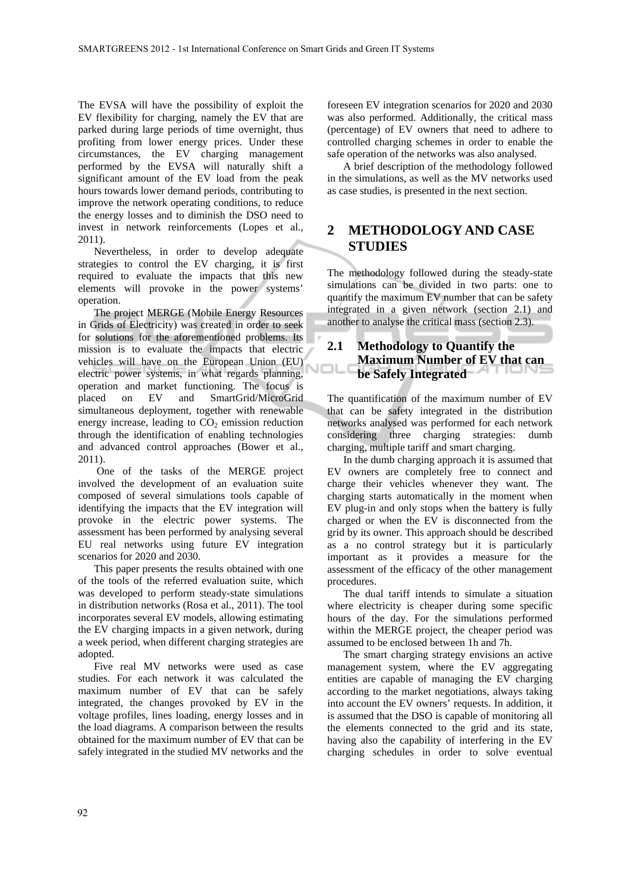The EVSA will have the possibility of exploit the EV flexibility for charging, namely the EV that are parked during large periods of time overnight, thus profiting from lower energy prices. Under these circumstances, the EV charging management performed by the EVSA will naturally shift a significant amount of the EV load from the peak hours towards lower demand periods, contributing to improve the network operating conditions, to reduce the energy losses and to diminish the DSO need to invest in network reinforcements (Lopes et al., 2011).

Nevertheless, in order to develop adequate strategies to control the EV charging, it is first required to evaluate the impacts that this new elements will provoke in the power systems' operation.

The project MERGE (Mobile Energy Resources in Grids of Electricity) was created in order to seek for solutions for the aforementioned problems. Its mission is to evaluate the impacts that electric vehicles will have on the European Union (EU) electric power systems, in what regards planning, operation and market functioning. The focus is placed on EV and SmartGrid/MicroGrid simultaneous deployment, together with renewable energy increase, leading to  $CO<sub>2</sub>$  emission reduction through the identification of enabling technologies and advanced control approaches (Bower et al., 2011).

 One of the tasks of the MERGE project involved the development of an evaluation suite composed of several simulations tools capable of identifying the impacts that the EV integration will provoke in the electric power systems. The assessment has been performed by analysing several EU real networks using future EV integration scenarios for 2020 and 2030.

This paper presents the results obtained with one of the tools of the referred evaluation suite, which was developed to perform steady-state simulations in distribution networks (Rosa et al., 2011). The tool incorporates several EV models, allowing estimating the EV charging impacts in a given network, during a week period, when different charging strategies are adopted.

Five real MV networks were used as case studies. For each network it was calculated the maximum number of EV that can be safely integrated, the changes provoked by EV in the voltage profiles, lines loading, energy losses and in the load diagrams. A comparison between the results obtained for the maximum number of EV that can be safely integrated in the studied MV networks and the

foreseen EV integration scenarios for 2020 and 2030 was also performed. Additionally, the critical mass (percentage) of EV owners that need to adhere to controlled charging schemes in order to enable the safe operation of the networks was also analysed.

A brief description of the methodology followed in the simulations, as well as the MV networks used as case studies, is presented in the next section.

# **2 METHODOLOGY AND CASE STUDIES**

The methodology followed during the steady-state simulations can be divided in two parts: one to quantify the maximum EV number that can be safety integrated in a given network (section 2.1) and another to analyse the critical mass (section 2.3).

#### **2.1 Methodology to Quantify the Maximum Number of EV that can**  NOL **be Safely Integrated**

The quantification of the maximum number of EV that can be safety integrated in the distribution networks analysed was performed for each network considering three charging strategies: dumb charging, multiple tariff and smart charging.

In the dumb charging approach it is assumed that EV owners are completely free to connect and charge their vehicles whenever they want. The charging starts automatically in the moment when EV plug-in and only stops when the battery is fully charged or when the EV is disconnected from the grid by its owner. This approach should be described as a no control strategy but it is particularly important as it provides a measure for the assessment of the efficacy of the other management procedures.

The dual tariff intends to simulate a situation where electricity is cheaper during some specific hours of the day. For the simulations performed within the MERGE project, the cheaper period was assumed to be enclosed between 1h and 7h.

The smart charging strategy envisions an active management system, where the EV aggregating entities are capable of managing the EV charging according to the market negotiations, always taking into account the EV owners' requests. In addition, it is assumed that the DSO is capable of monitoring all the elements connected to the grid and its state, having also the capability of interfering in the EV charging schedules in order to solve eventual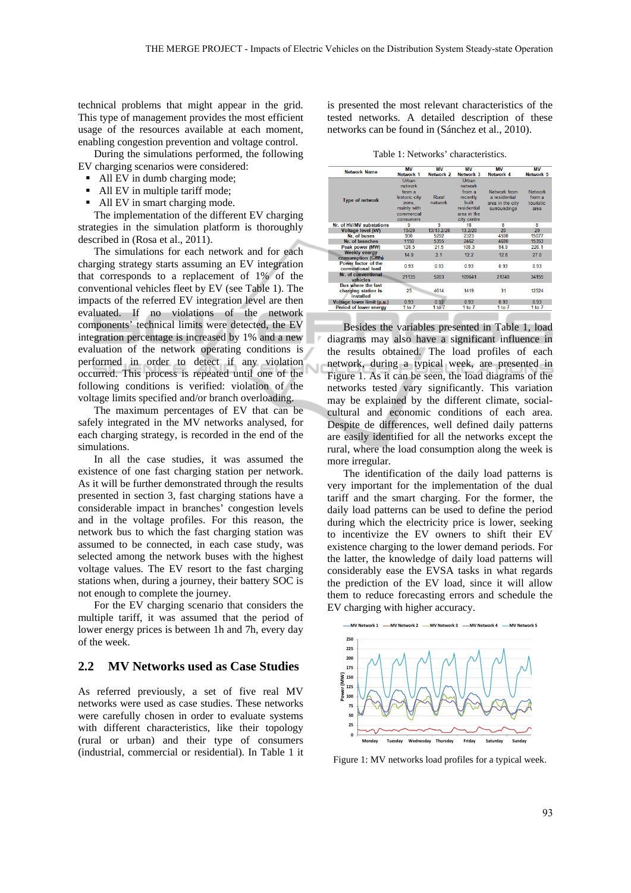Ù

technical problems that might appear in the grid. This type of management provides the most efficient usage of the resources available at each moment, enabling congestion prevention and voltage control.

During the simulations performed, the following EV charging scenarios were considered:

- All EV in dumb charging mode;
- All EV in multiple tariff mode;
- All EV in smart charging mode.

The implementation of the different EV charging strategies in the simulation platform is thoroughly described in (Rosa et al., 2011).

The simulations for each network and for each charging strategy starts assuming an EV integration that corresponds to a replacement of 1% of the conventional vehicles fleet by EV (see Table 1). The impacts of the referred EV integration level are then evaluated. If no violations of the network components' technical limits were detected, the EV integration percentage is increased by 1% and a new evaluation of the network operating conditions is performed in order to detect if any violation occurred. This process is repeated until one of the following conditions is verified: violation of the voltage limits specified and/or branch overloading.

The maximum percentages of EV that can be safely integrated in the MV networks analysed, for each charging strategy, is recorded in the end of the simulations.

In all the case studies, it was assumed the existence of one fast charging station per network. As it will be further demonstrated through the results presented in section 3, fast charging stations have a considerable impact in branches' congestion levels and in the voltage profiles. For this reason, the network bus to which the fast charging station was assumed to be connected, in each case study, was selected among the network buses with the highest voltage values. The EV resort to the fast charging stations when, during a journey, their battery SOC is not enough to complete the journey.

For the EV charging scenario that considers the multiple tariff, it was assumed that the period of lower energy prices is between 1h and 7h, every day of the week.

#### **2.2 MV Networks used as Case Studies**

As referred previously, a set of five real MV networks were used as case studies. These networks were carefully chosen in order to evaluate systems with different characteristics, like their topology (rural or urban) and their type of consumers (industrial, commercial or residential). In Table 1 it

is presented the most relevant characteristics of the tested networks. A detailed description of these networks can be found in (Sánchez et al., 2010).

Table 1: Networks' characteristics.

| <b>Network Name</b>                                           | <b>MV</b><br>Network 1                                                                         | <b>MV</b><br>Network 2 | <b>MV</b><br>Network 3                                                                              | мv<br>Network 4                                                   | ΜV<br>Network 5                                      |
|---------------------------------------------------------------|------------------------------------------------------------------------------------------------|------------------------|-----------------------------------------------------------------------------------------------------|-------------------------------------------------------------------|------------------------------------------------------|
| <b>Type of network</b>                                        | Urban<br>network<br>from a<br>historic city<br>zone.<br>mainly with<br>commercial<br>consumers | Rural<br>network       | Urban<br>network<br>from a<br>recently<br><b>huilt</b><br>residential<br>area in the<br>city centre | Network from<br>a residential<br>area in the city<br>surroundings | <b>Network</b><br>from a<br><b>touristic</b><br>area |
| Nr. of HV/MV substations                                      | ۹                                                                                              | 5                      | 18                                                                                                  | R                                                                 | R                                                    |
| <b>Voltage level (kV)</b>                                     | 15/20                                                                                          | 13/13.2/20             | 13.2/20                                                                                             | 20                                                                | 20                                                   |
| Nr. of buses                                                  | 930                                                                                            | 5292                   | 2323                                                                                                | 4598                                                              | 15077                                                |
| Nr. of branches                                               | 1150                                                                                           | 5355                   | 2462                                                                                                | 4680                                                              | 15353                                                |
| Peak power (MW)                                               | 128.5                                                                                          | 21.5                   | 108.3                                                                                               | 94.9                                                              | 226.1                                                |
| <b>Weekly energy</b><br>consumption (GWh)                     | 14.9                                                                                           | 2.1                    | 12.2                                                                                                | 12.8                                                              | 27.0                                                 |
| Power factor of the<br>conventional load                      | 0.93                                                                                           | 0.93                   | 0.93                                                                                                | 0.93                                                              | 0.93                                                 |
| Nr. of conventional<br>vehicles                               | 21135                                                                                          | 5203                   | 109641                                                                                              | 21749                                                             | 34155                                                |
| <b>Bus where the fast</b><br>charging station is<br>installed | 25                                                                                             | 4614                   | 1419                                                                                                | 31                                                                | 12524                                                |
| Voltage lower limit (p.u.)                                    | 0.93                                                                                           | 0.93                   | 0.93                                                                                                | 0.93                                                              | 0.93                                                 |
| Period of lower energy                                        | 1 to $7$                                                                                       | 1 to $7$               | 1 to $7$                                                                                            | 1 to $7$                                                          | 1 to $7$                                             |

Besides the variables presented in Table 1, load diagrams may also have a significant influence in the results obtained. The load profiles of each network, during a typical week, are presented in Figure 1. As it can be seen, the load diagrams of the networks tested vary significantly. This variation may be explained by the different climate, socialcultural and economic conditions of each area. Despite de differences, well defined daily patterns are easily identified for all the networks except the rural, where the load consumption along the week is more irregular.

The identification of the daily load patterns is very important for the implementation of the dual tariff and the smart charging. For the former, the daily load patterns can be used to define the period during which the electricity price is lower, seeking to incentivize the EV owners to shift their EV existence charging to the lower demand periods. For the latter, the knowledge of daily load patterns will considerably ease the EVSA tasks in what regards the prediction of the EV load, since it will allow them to reduce forecasting errors and schedule the EV charging with higher accuracy.



Figure 1: MV networks load profiles for a typical week.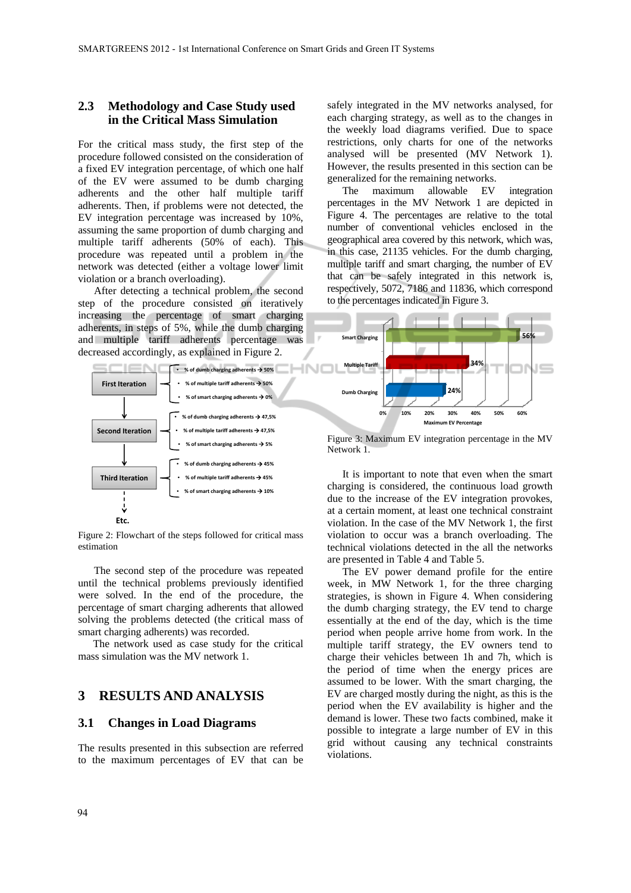### **2.3 Methodology and Case Study used in the Critical Mass Simulation**

For the critical mass study, the first step of the procedure followed consisted on the consideration of a fixed EV integration percentage, of which one half of the EV were assumed to be dumb charging adherents and the other half multiple tariff adherents. Then, if problems were not detected, the EV integration percentage was increased by 10%, assuming the same proportion of dumb charging and multiple tariff adherents (50% of each). This procedure was repeated until a problem in the network was detected (either a voltage lower limit violation or a branch overloading).

After detecting a technical problem, the second step of the procedure consisted on iteratively increasing the percentage of smart charging adherents, in steps of 5%, while the dumb charging and multiple tariff adherents percentage was decreased accordingly, as explained in Figure 2.



Figure 2: Flowchart of the steps followed for critical mass estimation

The second step of the procedure was repeated until the technical problems previously identified were solved. In the end of the procedure, the percentage of smart charging adherents that allowed solving the problems detected (the critical mass of smart charging adherents) was recorded.

The network used as case study for the critical mass simulation was the MV network 1.

## **3 RESULTS AND ANALYSIS**

#### **3.1 Changes in Load Diagrams**

The results presented in this subsection are referred to the maximum percentages of EV that can be

safely integrated in the MV networks analysed, for each charging strategy, as well as to the changes in the weekly load diagrams verified. Due to space restrictions, only charts for one of the networks analysed will be presented (MV Network 1). However, the results presented in this section can be generalized for the remaining networks.

The maximum allowable EV integration percentages in the MV Network 1 are depicted in Figure 4. The percentages are relative to the total number of conventional vehicles enclosed in the geographical area covered by this network, which was, in this case, 21135 vehicles. For the dumb charging, multiple tariff and smart charging, the number of EV that can be safely integrated in this network is, respectively, 5072, 7186 and 11836, which correspond to the percentages indicated in Figure 3.



Figure 3: Maximum EV integration percentage in the MV Network 1.

It is important to note that even when the smart charging is considered, the continuous load growth due to the increase of the EV integration provokes, at a certain moment, at least one technical constraint violation. In the case of the MV Network 1, the first violation to occur was a branch overloading. The technical violations detected in the all the networks are presented in Table 4 and Table 5.

The EV power demand profile for the entire week, in MW Network 1, for the three charging strategies, is shown in Figure 4. When considering the dumb charging strategy, the EV tend to charge essentially at the end of the day, which is the time period when people arrive home from work. In the multiple tariff strategy, the EV owners tend to charge their vehicles between 1h and 7h, which is the period of time when the energy prices are assumed to be lower. With the smart charging, the EV are charged mostly during the night, as this is the period when the EV availability is higher and the demand is lower. These two facts combined, make it possible to integrate a large number of EV in this grid without causing any technical constraints violations.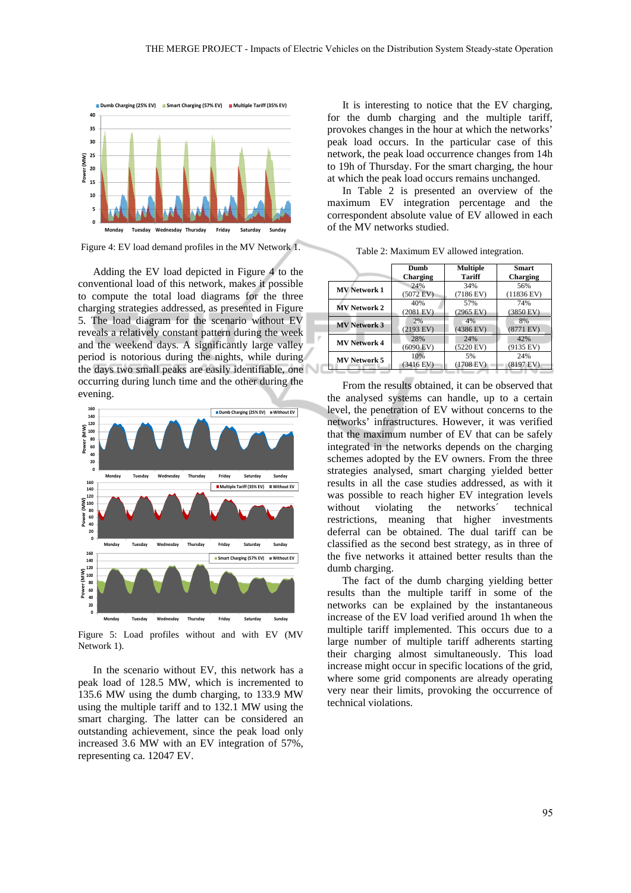

Figure 4: EV load demand profiles in the MV Network 1.

Adding the EV load depicted in Figure 4 to the conventional load of this network, makes it possible to compute the total load diagrams for the three charging strategies addressed, as presented in Figure 5. The load diagram for the scenario without EV reveals a relatively constant pattern during the week and the weekend days. A significantly large valley period is notorious during the nights, while during the days two small peaks are easily identifiable, one occurring during lunch time and the other during the evening.



Figure 5: Load profiles without and with EV (MV Network 1).

In the scenario without EV, this network has a peak load of 128.5 MW, which is incremented to 135.6 MW using the dumb charging, to 133.9 MW using the multiple tariff and to 132.1 MW using the smart charging. The latter can be considered an outstanding achievement, since the peak load only increased 3.6 MW with an EV integration of 57%, representing ca. 12047 EV.

It is interesting to notice that the EV charging, for the dumb charging and the multiple tariff, provokes changes in the hour at which the networks' peak load occurs. In the particular case of this network, the peak load occurrence changes from 14h to 19h of Thursday. For the smart charging, the hour at which the peak load occurs remains unchanged.

In Table 2 is presented an overview of the maximum EV integration percentage and the correspondent absolute value of EV allowed in each of the MV networks studied.

|                     | Dumb                | <b>Multiple</b>     | <b>Smart</b>         |
|---------------------|---------------------|---------------------|----------------------|
|                     | Charging            | <b>Tariff</b>       | Charging             |
| <b>MV Network 1</b> | 24%                 | 34%                 | 56%                  |
|                     | $(5072$ EV)         | (7186 EV)           | $(11836 \text{ EV})$ |
| <b>MV Network 2</b> | 40%                 | 57%                 | 74%                  |
|                     | $(2081$ EV)         | $(2965 \text{ EV})$ | $(3850 \text{ EV})$  |
| <b>MV Network 3</b> | 2%                  | 4%                  | 8%                   |
|                     | $(2193 \text{ EV})$ | $(4386$ EV)         | $(8771$ EV)          |
| <b>MV Network 4</b> | 28%                 | 24%                 | 42%                  |
|                     | $(6090$ EV)         | $(5220 \text{ EV})$ | $(9135$ EV)          |
| <b>MV Network 5</b> | 10%                 | 5%                  | 24%                  |
|                     | (3416 EV)           | $(1708$ EV)         | $(8197 \text{ EV})$  |

Table 2: Maximum EV allowed integration.

From the results obtained, it can be observed that the analysed systems can handle, up to a certain level, the penetration of EV without concerns to the networks' infrastructures. However, it was verified that the maximum number of EV that can be safely integrated in the networks depends on the charging schemes adopted by the EV owners. From the three strategies analysed, smart charging yielded better results in all the case studies addressed, as with it was possible to reach higher EV integration levels without violating the networks' technical restrictions, meaning that higher investments deferral can be obtained. The dual tariff can be classified as the second best strategy, as in three of the five networks it attained better results than the dumb charging.

The fact of the dumb charging yielding better results than the multiple tariff in some of the networks can be explained by the instantaneous increase of the EV load verified around 1h when the multiple tariff implemented. This occurs due to a large number of multiple tariff adherents starting their charging almost simultaneously. This load increase might occur in specific locations of the grid, where some grid components are already operating very near their limits, provoking the occurrence of technical violations.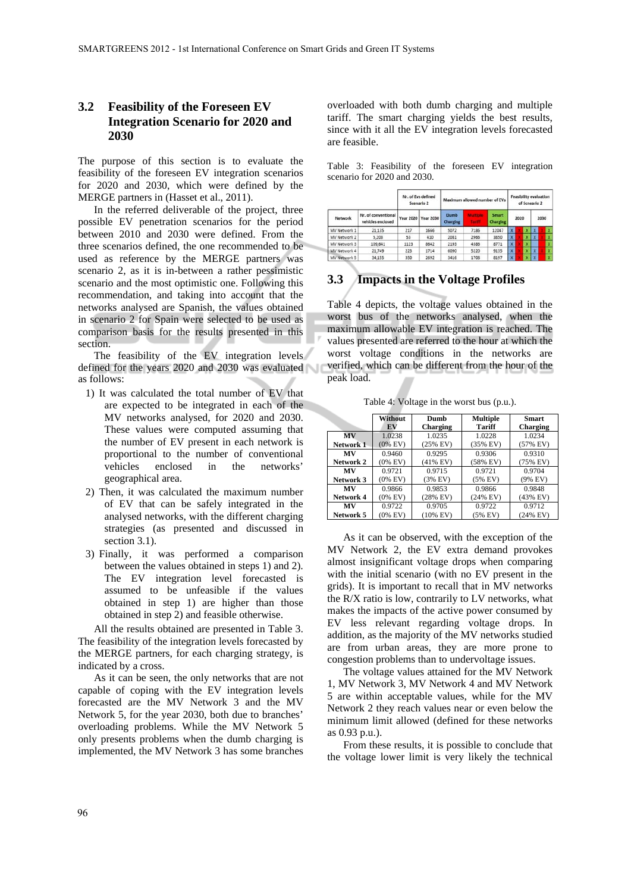### **3.2 Feasibility of the Foreseen EV Integration Scenario for 2020 and 2030**

The purpose of this section is to evaluate the feasibility of the foreseen EV integration scenarios for 2020 and 2030, which were defined by the MERGE partners in (Hasset et al., 2011).

In the referred deliverable of the project, three possible EV penetration scenarios for the period between 2010 and 2030 were defined. From the three scenarios defined, the one recommended to be used as reference by the MERGE partners was scenario 2, as it is in-between a rather pessimistic scenario and the most optimistic one. Following this recommendation, and taking into account that the networks analysed are Spanish, the values obtained in scenario 2 for Spain were selected to be used as comparison basis for the results presented in this section.

The feasibility of the EV integration levels defined for the years 2020 and 2030 was evaluated as follows:

- 1) It was calculated the total number of EV that are expected to be integrated in each of the MV networks analysed, for 2020 and 2030. These values were computed assuming that the number of EV present in each network is proportional to the number of conventional vehicles enclosed in the networks' geographical area.
- 2) Then, it was calculated the maximum number of EV that can be safely integrated in the analysed networks, with the different charging strategies (as presented and discussed in section 3.1).
- 3) Finally, it was performed a comparison between the values obtained in steps 1) and 2). The EV integration level forecasted is assumed to be unfeasible if the values obtained in step 1) are higher than those obtained in step 2) and feasible otherwise.

All the results obtained are presented in Table 3. The feasibility of the integration levels forecasted by the MERGE partners, for each charging strategy, is indicated by a cross.

As it can be seen, the only networks that are not capable of coping with the EV integration levels forecasted are the MV Network 3 and the MV Network 5, for the year 2030, both due to branches' overloading problems. While the MV Network 5 only presents problems when the dumb charging is implemented, the MV Network 3 has some branches

overloaded with both dumb charging and multiple tariff. The smart charging yields the best results, since with it all the EV integration levels forecasted are feasible.

Table 3: Feasibility of the foreseen EV integration scenario for 2020 and 2030.

| Network<br>MV Network 1 |                                          | Nr. of Eys defined<br>Scenario 2 |           | Maximum allowed number of EVs |               |                                 | <b>Feasibility evaluation</b><br>of Scneario 2 |      |   |              |      |
|-------------------------|------------------------------------------|----------------------------------|-----------|-------------------------------|---------------|---------------------------------|------------------------------------------------|------|---|--------------|------|
|                         | Nr. of conventional<br>vehicles enclosed | <b>Year 2020</b>                 | Year 2030 | Dumb<br>Charging              | <b>Tariff</b> | <b>Smart</b><br><b>Charging</b> |                                                | 2020 |   |              | 2030 |
|                         | 21,135                                   | 217                              | 1666      | 5072                          | 7186          | 12047                           | X.                                             |      | x | $\mathbf{x}$ |      |
| MV Network 2            | 5,203                                    | 53                               | 410       | 2081                          | 2966          | 3850                            | Ÿ.                                             |      | x | $\mathbf{x}$ |      |
| MV Network 3            | 109,641                                  | 1123                             | 8642      | 2193                          | 4386          | 8771                            | $\mathbf{x}$                                   |      | x |              |      |
| MV Network 4            | 21,749                                   | 223                              | 1714      | 6090                          | 5220          | 9135                            | $\mathbf{x}$                                   |      | x | x            |      |
| MV Network 5            | 34,155                                   | 350                              | 2692      | 3416                          | 1708          | 8197                            | x                                              |      |   | $\mathbf{x}$ |      |

## **3.3 Impacts in the Voltage Profiles**

Table 4 depicts, the voltage values obtained in the worst bus of the networks analysed, when the maximum allowable EV integration is reached. The values presented are referred to the hour at which the worst voltage conditions in the networks are verified, which can be different from the hour of the peak load.

Table 4: Voltage in the worst bus (p.u.).

|           | <b>Without</b><br>EV | <b>Multiple</b><br>Dumb<br>Tariff<br>Charging |            | <b>Smart</b><br>Charging |
|-----------|----------------------|-----------------------------------------------|------------|--------------------------|
|           |                      |                                               |            |                          |
| <b>MV</b> | 1.0238               | 1.0235                                        | 1.0228     | 1.0234                   |
| Network 1 | $(0\%$ EV)           | $(25%$ EV)                                    | $(35%$ EV) | $(57%$ EV)               |
| MV        | 0.9460               | 0.9295                                        | 0.9306     | 0.9310                   |
| Network 2 | $(0\%$ EV)           | $(41\%$ EV)                                   | (58% EV)   | (75% EV)                 |
| MV        | 0.9721               | 0.9715                                        | 0.9721     | 0.9704                   |
| Network 3 | $(0\%$ EV)           | $(3%$ EV)                                     | $(5%$ EV)  | $(9%$ EV)                |
| MV        | 0.9866               | 0.9853                                        | 0.9866     | 0.9848                   |
| Network 4 | $(0\%$ EV)           | $(28%$ EV)                                    | $(24%$ EV) | (43% EV)                 |
| MV        | 0.9722               | 0.9705                                        | 0.9722     | 0.9712                   |
| Network 5 | $(0\%$ EV)           | $(10\%$ EV)                                   | $(5%$ EV)  | $(24%$ EV)               |

As it can be observed, with the exception of the MV Network 2, the EV extra demand provokes almost insignificant voltage drops when comparing with the initial scenario (with no EV present in the grids). It is important to recall that in MV networks the R/X ratio is low, contrarily to LV networks, what makes the impacts of the active power consumed by EV less relevant regarding voltage drops. In addition, as the majority of the MV networks studied are from urban areas, they are more prone to congestion problems than to undervoltage issues.

The voltage values attained for the MV Network 1, MV Network 3, MV Network 4 and MV Network 5 are within acceptable values, while for the MV Network 2 they reach values near or even below the minimum limit allowed (defined for these networks as 0.93 p.u.).

From these results, it is possible to conclude that the voltage lower limit is very likely the technical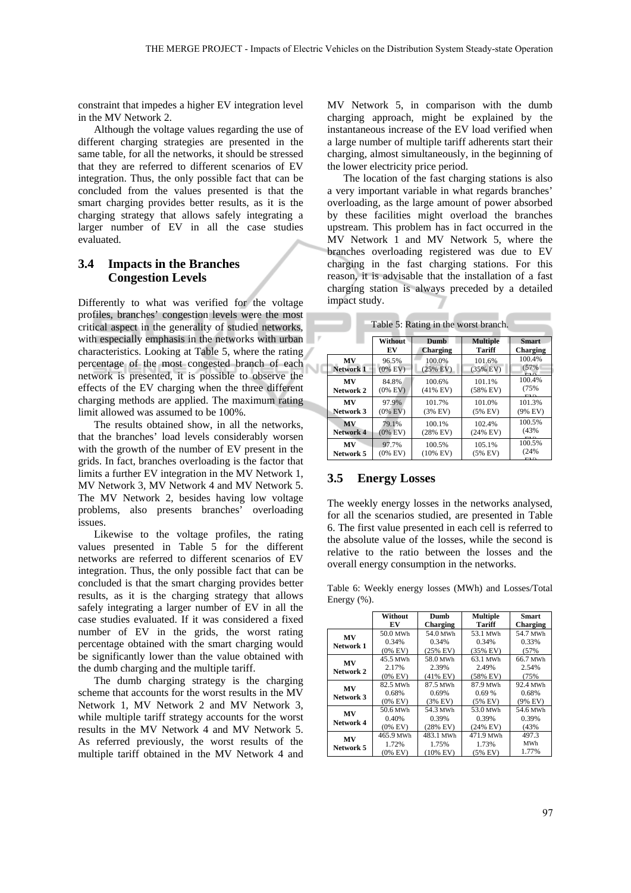constraint that impedes a higher EV integration level in the MV Network 2.

Although the voltage values regarding the use of different charging strategies are presented in the same table, for all the networks, it should be stressed that they are referred to different scenarios of EV integration. Thus, the only possible fact that can be concluded from the values presented is that the smart charging provides better results, as it is the charging strategy that allows safely integrating a larger number of EV in all the case studies evaluated.

### **3.4 Impacts in the Branches Congestion Levels**

Differently to what was verified for the voltage profiles, branches' congestion levels were the most critical aspect in the generality of studied networks, with especially emphasis in the networks with urban characteristics. Looking at Table 5, where the rating percentage of the most congested branch of each network is presented, it is possible to observe the effects of the EV charging when the three different charging methods are applied. The maximum rating limit allowed was assumed to be 100%.

The results obtained show, in all the networks, that the branches' load levels considerably worsen with the growth of the number of EV present in the grids. In fact, branches overloading is the factor that limits a further EV integration in the MV Network 1, MV Network 3, MV Network 4 and MV Network 5. The MV Network 2, besides having low voltage problems, also presents branches' overloading issues.

Likewise to the voltage profiles, the rating values presented in Table 5 for the different networks are referred to different scenarios of EV integration. Thus, the only possible fact that can be concluded is that the smart charging provides better results, as it is the charging strategy that allows safely integrating a larger number of EV in all the case studies evaluated. If it was considered a fixed number of EV in the grids, the worst rating percentage obtained with the smart charging would be significantly lower than the value obtained with the dumb charging and the multiple tariff.

The dumb charging strategy is the charging scheme that accounts for the worst results in the MV Network 1, MV Network 2 and MV Network 3, while multiple tariff strategy accounts for the worst results in the MV Network 4 and MV Network 5. As referred previously, the worst results of the multiple tariff obtained in the MV Network 4 and

MV Network 5, in comparison with the dumb charging approach, might be explained by the instantaneous increase of the EV load verified when a large number of multiple tariff adherents start their charging, almost simultaneously, in the beginning of the lower electricity price period.

The location of the fast charging stations is also a very important variable in what regards branches' overloading, as the large amount of power absorbed by these facilities might overload the branches upstream. This problem has in fact occurred in the MV Network 1 and MV Network 5, where the branches overloading registered was due to EV charging in the fast charging stations. For this reason, it is advisable that the installation of a fast charging station is always preceded by a detailed impact study.

| rable $\mathcal{I}$ . Kathig in the worst branch. |                     |                       |                      |                              |  |  |  |
|---------------------------------------------------|---------------------|-----------------------|----------------------|------------------------------|--|--|--|
|                                                   | Without             | <b>Dumb</b>           | <b>Multiple</b>      | <b>Smart</b>                 |  |  |  |
|                                                   | EV                  | Charging              | Tariff               | Charging                     |  |  |  |
| <b>MV</b>                                         | 96.5%               | 100.0%                | 101.6%               | 100.4%                       |  |  |  |
| <b>Network 1</b>                                  | $(0\%$ EV)          | $(25%$ EV)            | $(35%$ EV)           | (57%                         |  |  |  |
| <b>MV</b><br>Network 2                            | 84.8%<br>$(0\%$ EV) | 100.6%<br>$(41\%$ EV) | 101.1%<br>$(58%$ EV) | 100.4%<br>(75%<br><b>DET</b> |  |  |  |
| <b>MV</b>                                         | 97.9%               | 101.7%                | 101.0%               | 101.3%                       |  |  |  |
| Network 3                                         | $(0\%$ EV)          | $(3%$ EV)             | $(5%$ EV)            | (9% EV)                      |  |  |  |
| <b>MV</b>                                         | 79.1%               | 100.1%                | 102.4%               | 100.5%                       |  |  |  |
| Network 4                                         | $(0\%$ EV)          | $(28%$ EV)            | $(24%$ EV)           | (43%                         |  |  |  |
| MV                                                | 97.7%               | 100.5%                | 105.1%               | 100.5%                       |  |  |  |
| Network 5                                         | $(0\%$ EV)          | $(10\%$ EV)           | $(5%$ EV)            | (24%                         |  |  |  |

Table 5: Rating in the worst branch.

#### **3.5 Energy Losses**

The weekly energy losses in the networks analysed, for all the scenarios studied, are presented in Table 6. The first value presented in each cell is referred to the absolute value of the losses, while the second is relative to the ratio between the losses and the overall energy consumption in the networks.

Table 6: Weekly energy losses (MWh) and Losses/Total Energy (%).

|                        | Without    | Dumb        | <b>Multiple</b> | <b>Smart</b> |  |
|------------------------|------------|-------------|-----------------|--------------|--|
|                        | EV         | Charging    | Tariff          | Charging     |  |
| <b>MV</b>              | 50.0 MWh   | 54.0 MWh    | 53.1 MWh        | 54.7 MWh     |  |
| Network 1              | 0.34%      | 0.34%       | 0.34%           | 0.33%        |  |
|                        | $(0\%$ EV) | $(25%$ EV)  | $(35%$ EV)      | (57%         |  |
| MV                     | 45.5 MWh   | 58.0 MWh    | 63.1 MWh        | 66.7 MWh     |  |
| Network 2              | 2.17%      | 2.39%       | 2.49%           | 2.54%        |  |
|                        | $(0\%$ EV) | $(41\%$ EV) | $(58%$ EV)      | (75%         |  |
| <b>MV</b><br>Network 3 | 82.5 MWh   | 87.5 MWh    | 87.9 MWh        | 92.4 MWh     |  |
|                        | 0.68%      | 0.69%       | 0.69%           | 0.68%        |  |
|                        | $(0\%$ EV) | $(3%$ EV)   | $(5%$ EV)       | $(9%$ EV)    |  |
| <b>MV</b><br>Network 4 | 50.6 MWh   | 54.3 MWh    | 53.0 MWh        | 54.6 MWh     |  |
|                        | 0.40%      | 0.39%       | 0.39%           | 0.39%        |  |
|                        | $(0\%$ EV) | $(28%$ EV)  | $(24%$ EV)      | (43%         |  |
| MV<br>Network 5        | 465.9 MWh  | 483.1 MWh   | 471.9 MWh       | 497.3        |  |
|                        | 1.72%      | 1.75%       | 1.73%           | MWh          |  |
|                        | $(0\%$ EV) | $(10\%$ EV) | $(5%$ EV)       | 1.77%        |  |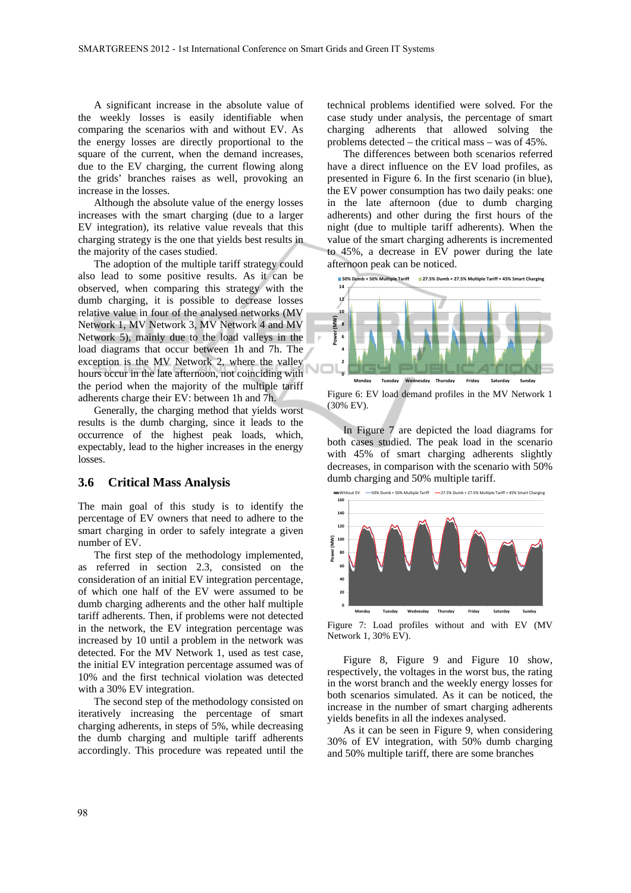A significant increase in the absolute value of the weekly losses is easily identifiable when comparing the scenarios with and without EV. As the energy losses are directly proportional to the square of the current, when the demand increases, due to the EV charging, the current flowing along the grids' branches raises as well, provoking an increase in the losses.

Although the absolute value of the energy losses increases with the smart charging (due to a larger EV integration), its relative value reveals that this charging strategy is the one that yields best results in the majority of the cases studied.

The adoption of the multiple tariff strategy could also lead to some positive results. As it can be observed, when comparing this strategy with the dumb charging, it is possible to decrease losses relative value in four of the analysed networks (MV Network 1, MV Network 3, MV Network 4 and MV Network 5), mainly due to the load valleys in the load diagrams that occur between 1h and 7h. The exception is the MV Network 2, where the valley hours occur in the late afternoon, not coinciding with the period when the majority of the multiple tariff adherents charge their EV: between 1h and 7h.

Generally, the charging method that yields worst results is the dumb charging, since it leads to the occurrence of the highest peak loads, which, expectably, lead to the higher increases in the energy losses.

#### **3.6 Critical Mass Analysis**

The main goal of this study is to identify the percentage of EV owners that need to adhere to the smart charging in order to safely integrate a given number of EV.

The first step of the methodology implemented, as referred in section 2.3, consisted on the consideration of an initial EV integration percentage, of which one half of the EV were assumed to be dumb charging adherents and the other half multiple tariff adherents. Then, if problems were not detected in the network, the EV integration percentage was increased by 10 until a problem in the network was detected. For the MV Network 1, used as test case, the initial EV integration percentage assumed was of 10% and the first technical violation was detected with a 30% EV integration.

The second step of the methodology consisted on iteratively increasing the percentage of smart charging adherents, in steps of 5%, while decreasing the dumb charging and multiple tariff adherents accordingly. This procedure was repeated until the

technical problems identified were solved. For the case study under analysis, the percentage of smart charging adherents that allowed solving the problems detected – the critical mass – was of 45%.

The differences between both scenarios referred have a direct influence on the EV load profiles, as presented in Figure 6. In the first scenario (in blue), the EV power consumption has two daily peaks: one in the late afternoon (due to dumb charging adherents) and other during the first hours of the night (due to multiple tariff adherents). When the value of the smart charging adherents is incremented to 45%, a decrease in EV power during the late afternoon peak can be noticed.



Figure 6: EV load demand profiles in the MV Network 1 (30% EV).

In Figure 7 are depicted the load diagrams for both cases studied. The peak load in the scenario with 45% of smart charging adherents slightly decreases, in comparison with the scenario with 50% dumb charging and 50% multiple tariff.



Figure 7: Load profiles without and with EV (MV Network 1, 30% EV).

Figure 8, Figure 9 and Figure 10 show, respectively, the voltages in the worst bus, the rating in the worst branch and the weekly energy losses for both scenarios simulated. As it can be noticed, the increase in the number of smart charging adherents yields benefits in all the indexes analysed.

As it can be seen in Figure 9, when considering 30% of EV integration, with 50% dumb charging and 50% multiple tariff, there are some branches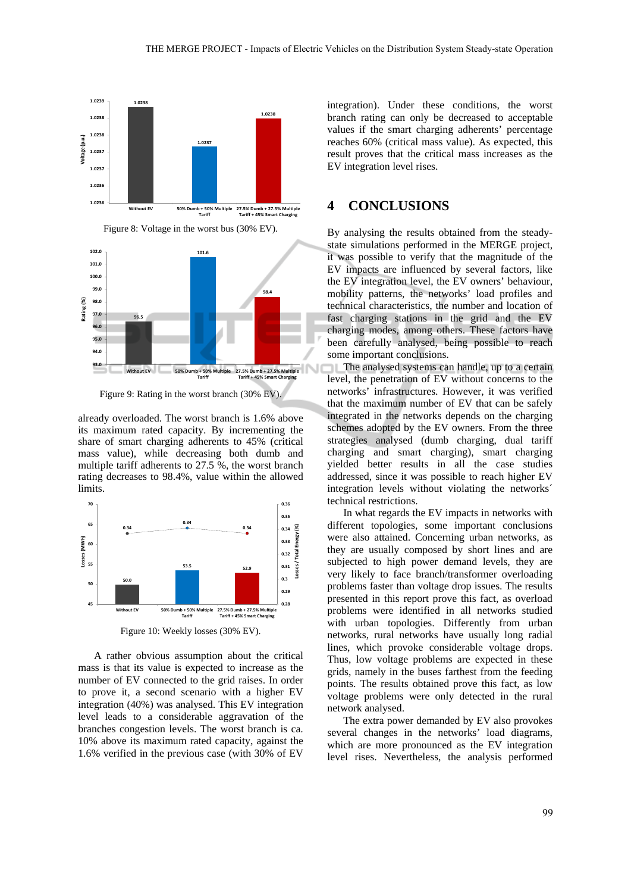

Figure 8: Voltage in the worst bus (30% EV).

**96.5 101.6 98.4 93.0 94.0 95.0 96.0 97.0 98.0 99.0 100.0 101.0 102.0** Without FV 50% Dumb + 50% Multi **Tariff 27.5% Dumb + 27.5% Multiple Tariff + 45% Smart Charging Rating (%)** Figure 9: Rating in the worst branch (30% EV).

already overloaded. The worst branch is 1.6% above its maximum rated capacity. By incrementing the share of smart charging adherents to 45% (critical mass value), while decreasing both dumb and multiple tariff adherents to 27.5 %, the worst branch rating decreases to 98.4%, value within the allowed limits.



Figure 10: Weekly losses (30% EV).

A rather obvious assumption about the critical mass is that its value is expected to increase as the number of EV connected to the grid raises. In order to prove it, a second scenario with a higher EV integration (40%) was analysed. This EV integration level leads to a considerable aggravation of the branches congestion levels. The worst branch is ca. 10% above its maximum rated capacity, against the 1.6% verified in the previous case (with 30% of EV

integration). Under these conditions, the worst branch rating can only be decreased to acceptable values if the smart charging adherents' percentage reaches 60% (critical mass value). As expected, this result proves that the critical mass increases as the EV integration level rises.

### **4 CONCLUSIONS**

By analysing the results obtained from the steadystate simulations performed in the MERGE project, it was possible to verify that the magnitude of the EV impacts are influenced by several factors, like the EV integration level, the EV owners' behaviour, mobility patterns, the networks' load profiles and technical characteristics, the number and location of fast charging stations in the grid and the EV charging modes, among others. These factors have been carefully analysed, being possible to reach some important conclusions.

The analysed systems can handle, up to a certain level, the penetration of EV without concerns to the networks' infrastructures. However, it was verified that the maximum number of EV that can be safely integrated in the networks depends on the charging schemes adopted by the EV owners. From the three strategies analysed (dumb charging, dual tariff charging and smart charging), smart charging yielded better results in all the case studies addressed, since it was possible to reach higher EV integration levels without violating the networks´ technical restrictions.

In what regards the EV impacts in networks with different topologies, some important conclusions were also attained. Concerning urban networks, as they are usually composed by short lines and are subjected to high power demand levels, they are very likely to face branch/transformer overloading problems faster than voltage drop issues. The results presented in this report prove this fact, as overload problems were identified in all networks studied with urban topologies. Differently from urban networks, rural networks have usually long radial lines, which provoke considerable voltage drops. Thus, low voltage problems are expected in these grids, namely in the buses farthest from the feeding points. The results obtained prove this fact, as low voltage problems were only detected in the rural network analysed.

The extra power demanded by EV also provokes several changes in the networks' load diagrams, which are more pronounced as the EV integration level rises. Nevertheless, the analysis performed